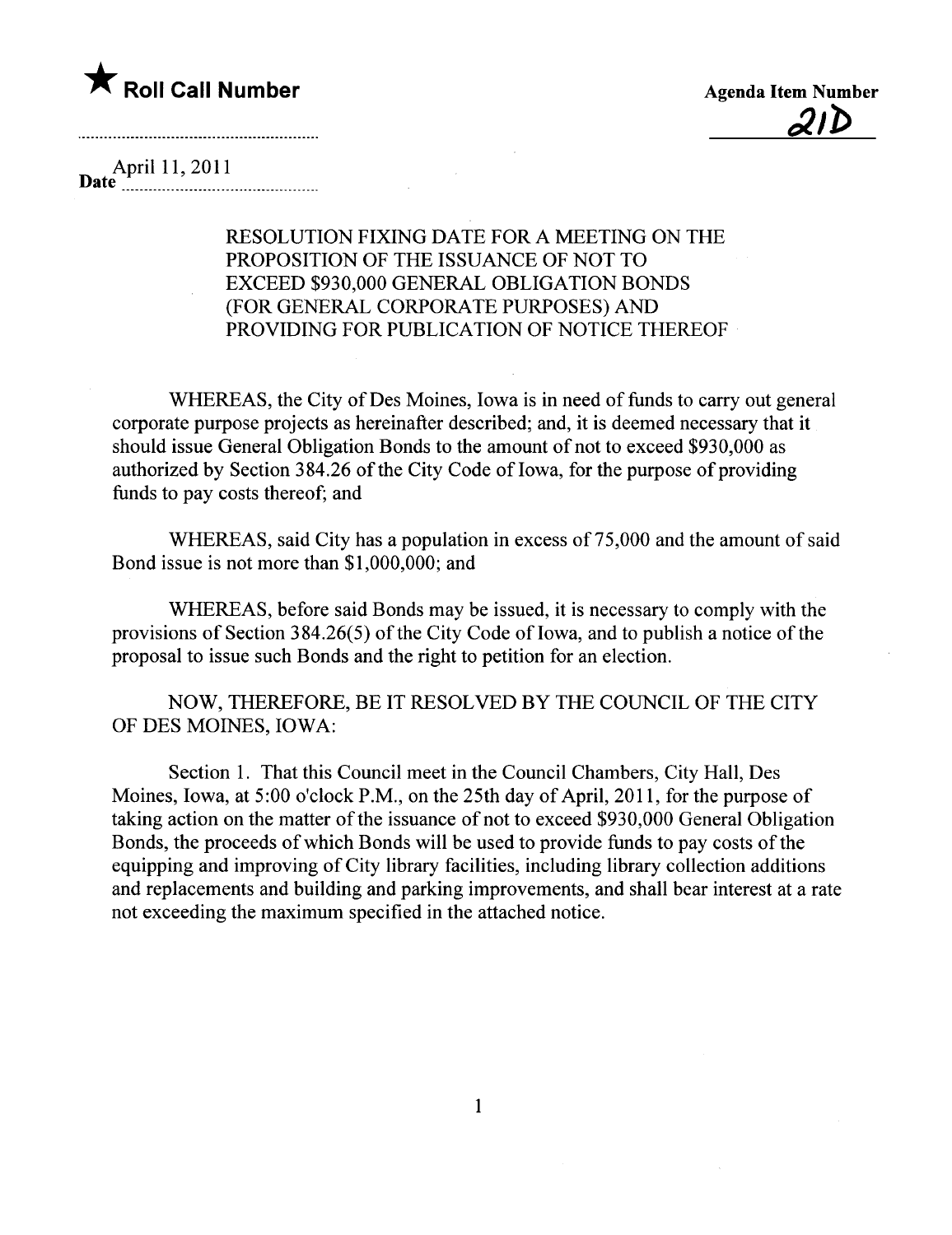

<u>21D</u>

## April 11, 2011  $\textbf{Date}$   $\text{Value}$   $\text{EXAMPLE}$

RESOLUTION FIXING DATE FOR A MEETING ON THE PROPOSITION OF THE ISSUANCE OF NOT TO EXCEED \$930,000 GENERAL OBLIGATION BONDS (FOR GENERAL CORPORATE PURPOSES) AND PROVIDING FOR PUBLICATION OF NOTICE THEREOF

WHEREAS, the City of Des Moines, Iowa is in need of funds to carry out general corporate purpose projects as hereinafter described; and, it is deemed necessary that it should issue General Obligation Bonds to the amount of not to exceed \$930,000 as authorized by Section 384.26 of the City Code of Iowa, for the purpose of providing funds to pay costs thereof; and

WHEREAS, said City has a population in excess of 75,000 and the amount of said Bond issue is not more than \$1,000,000; and

WHEREAS, before said Bonds may be issued, it is necessary to comply with the provisions of Section  $384.26(5)$  of the City Code of Iowa, and to publish a notice of the proposal to issue such Bonds and the right to petition for an election.

NOW, THEREFORE, BE IT RESOLVED BY THE COUNCIL OF THE CITY OF DES MOINES, IOWA:

Section 1. That this Council meet in the Council Chambers, City Hall, Des Moines, Iowa, at 5:00 o'clock P.M., on the 25th day of April, 2011, for the purpose of taking action on the matter of the issuance of not to exceed \$930,000 General Obligation Bonds, the proceeds of which Bonds will be used to provide funds to pay costs of the equipping and improving of City library facilties, including library collection additions and replacements and building and parking improvements, and shall bear interest at a rate not exceeding the maximum specified in the attached notice.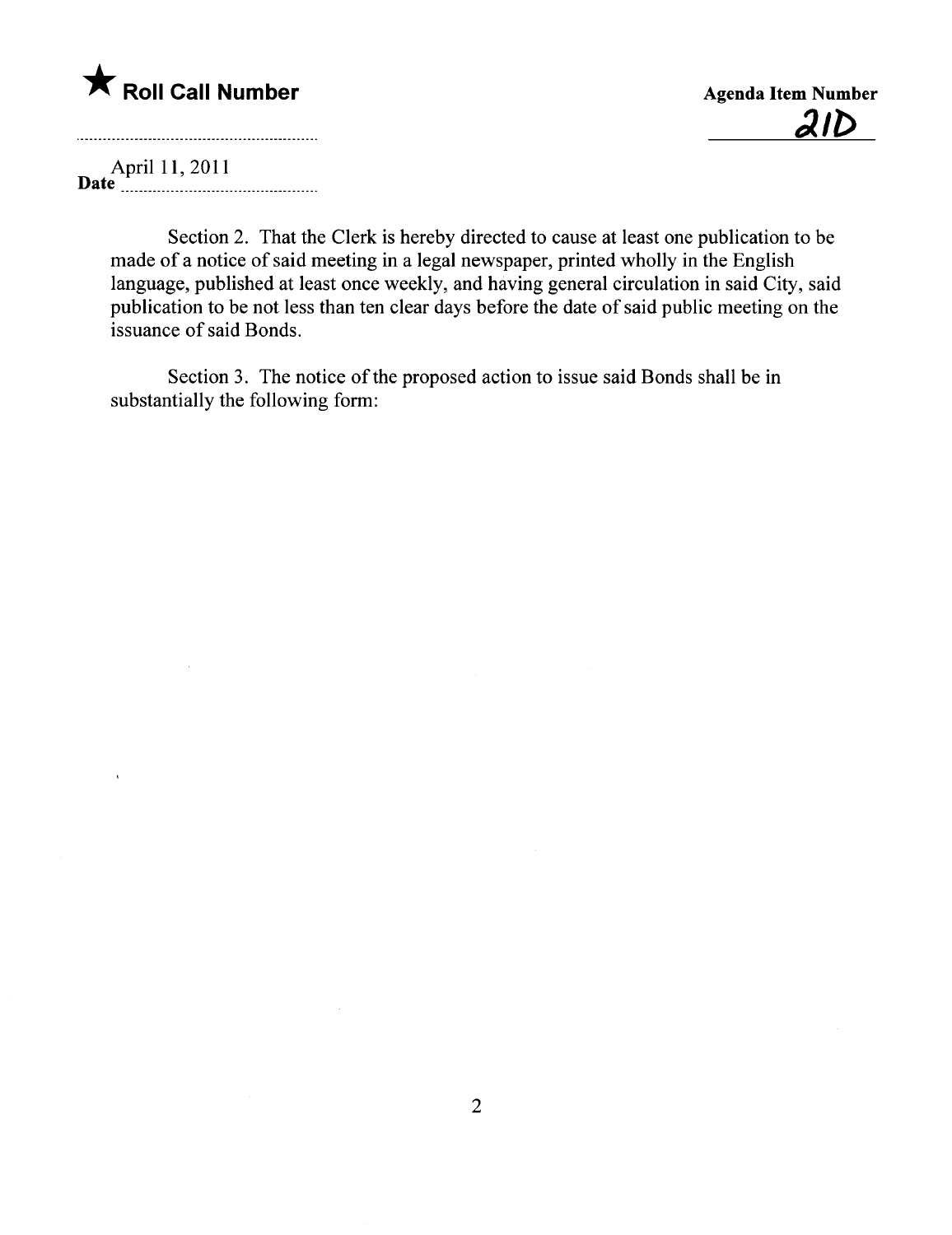## **\*** Roll Call Number Agenda Item Number

 $2ID$ 

April 11, 2011 Date u\_ \_uu\_ \_ \_ \_u \_ \_ \_ \_ u uu\_ uuu \_uuu \_ \_ \_ \_\_\_

Section 2. That the Clerk is hereby directed to cause at least one publication to be made of a notice of said meeting in a legal newspaper, printed wholly in the English language, published at least once weekly, and having general circulation in said City, said publication to be not less than ten clear days before the date of said public meeting on the issuance of said Bonds.

Section 3. The notice of the proposed action to issue said Bonds shall be in substantially the following form: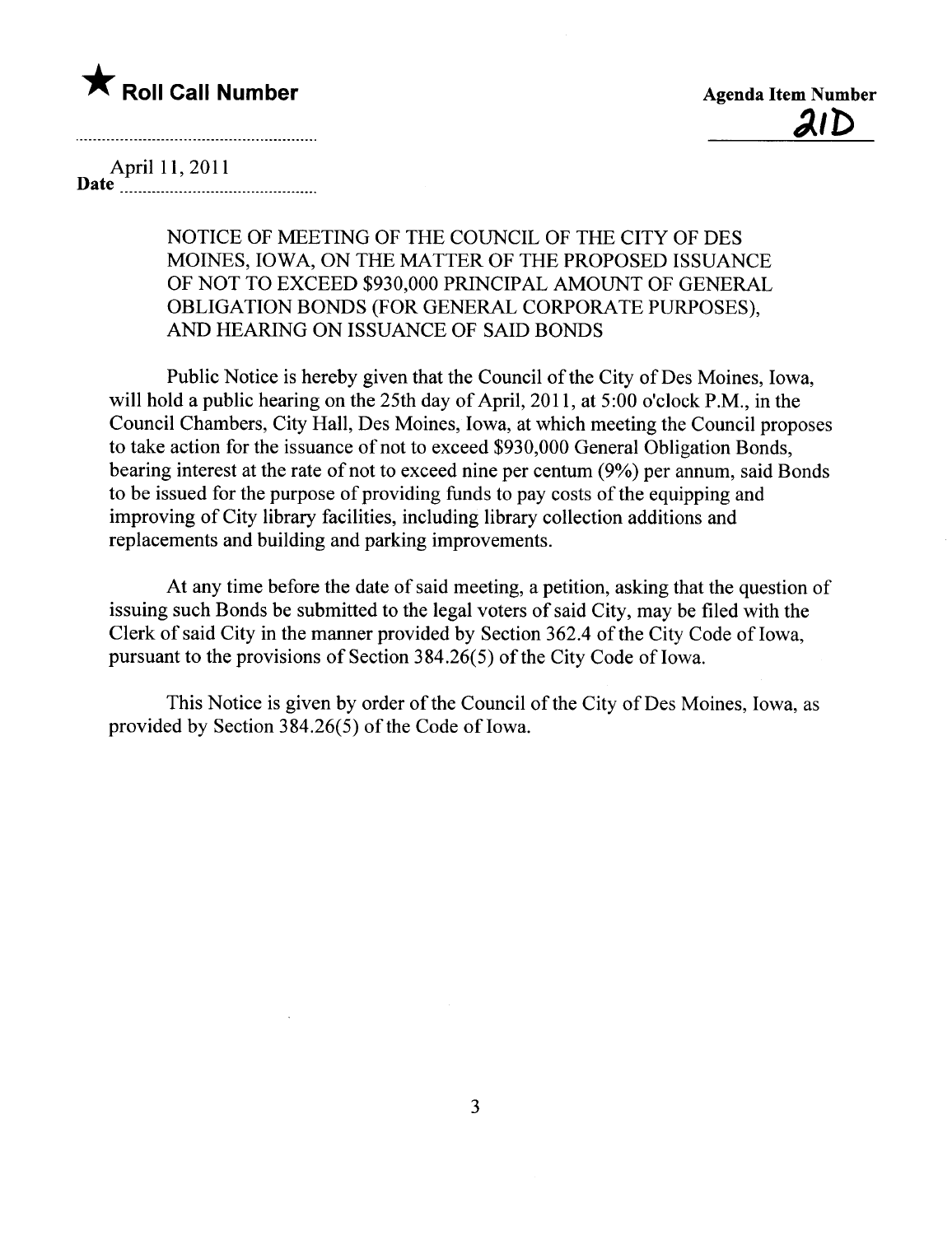

<u>21D</u>

April 11, 2011

Date \_ u \_ uuuuuu\_ \_ \_ uu\_uu\_ \_u\_ \_ \_ \_ \_ \_ \_\_\_\_\_\_

NOTICE OF MEETING OF THE COUNCIL OF THE CITY OF DES MOINES, IOWA, ON THE MATTER OF THE PROPOSED ISSUANCE OF NOT TO EXCEED \$930,000 PRINCIPAL AMOUNT OF GENERAL OBLIGATION BONDS (FOR GENERAL CORPORATE PURPOSES), AND HEARING ON ISSUANCE OF SAID BONDS

Public Notice is hereby given that the Council of the City of Des Moines, Iowa, will hold a public hearing on the 25th day of April, 2011, at 5:00 o'clock P.M., in the Council Chambers, City Hall, Des Moines, Iowa, at which meeting the Council proposes to take action for the issuance of not to exceed \$930,000 General Obligation Bonds, bearing interest at the rate of not to exceed nine per centum (9%) per annum, said Bonds to be issued for the purpose of providing funds to pay costs of the equipping and improving of City library facilities, including library collection additions and replacements and building and parking improvements.

At any time before the date of said meeting, a petition, asking that the question of issuing such Bonds be submitted to the legal voters of said City, may be fied with the Clerk of said City in the manner provided by Section 362.4 of the City Code of Iowa, pursuant to the provisions of Section  $384.26(5)$  of the City Code of Iowa.

This Notice is given by order of the Council of the City of Des Moines, Iowa, as provided by Section 384.26(5) of the Code of Iowa.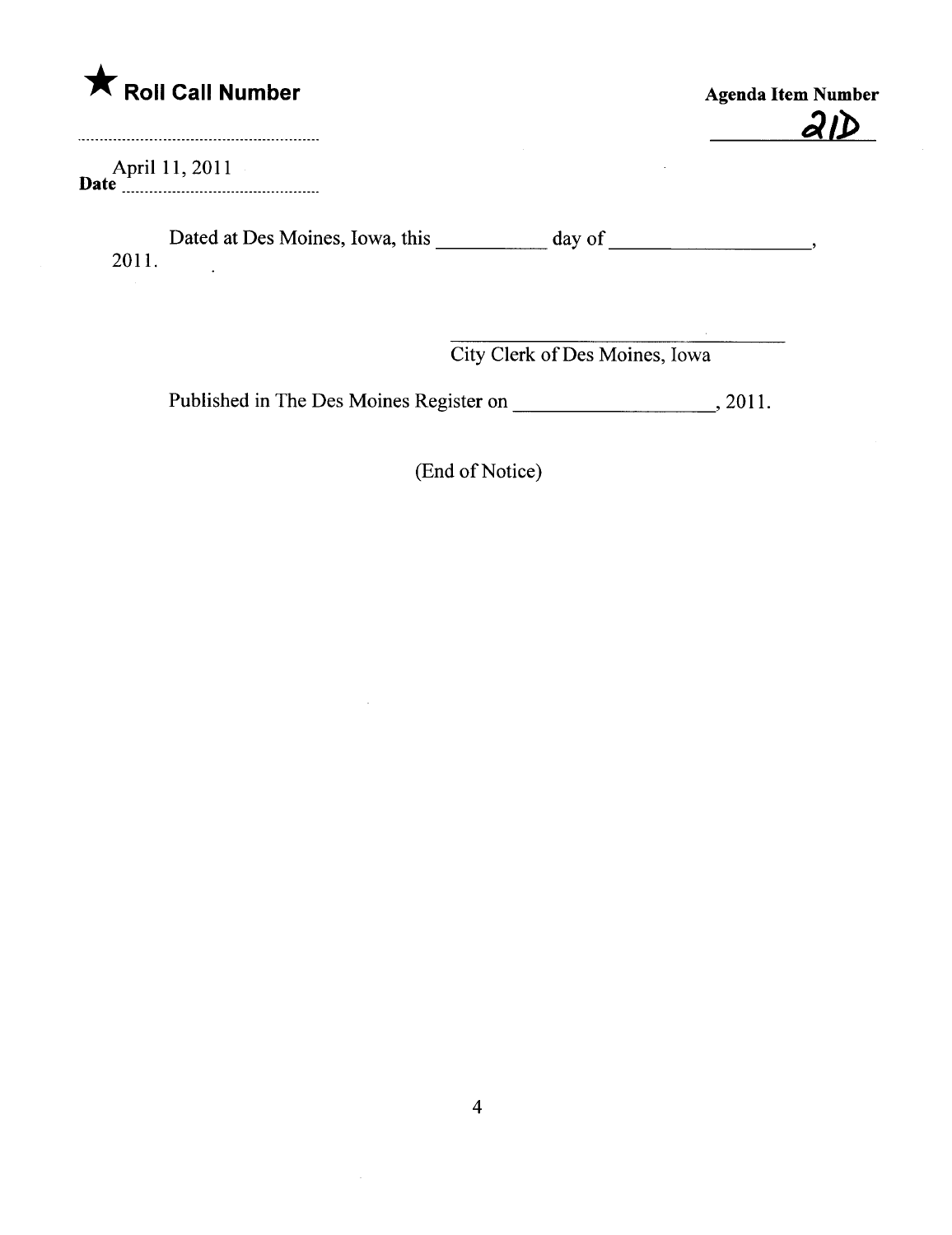

April 11, 2011  $\bm{D} \bm{u}$ le  $\ldots$   $\ldots$   $\ldots$   $\ldots$   $\ldots$   $\ldots$   $\ldots$   $\ldots$   $\ldots$   $\ldots$ 

Dated at Des Moines, Iowa, this \_\_\_\_\_\_\_\_\_\_ day of \_\_\_\_\_\_\_\_\_\_\_\_\_\_\_\_\_\_\_\_\_\_\_\_\_\_\_\_\_\_\_ 2011.  $\mathbf{r}$ 

City Clerk of Des Moines, Iowa

Published in The Des Moines Register on , 2011.

(End of Notice)